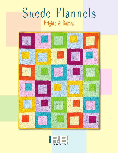# Suede Flannels Brights & Babies



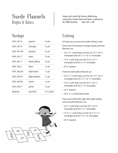## Suede Flannels Brights & Babies

#### Yardage

| <b>SUFL 561 G</b>  | (green)        | $3/8$ yd         |
|--------------------|----------------|------------------|
| <b>SUFL 561 O</b>  | (orange)       | $3/8$ yd         |
| <b>SUFL 561 RV</b> | (purple)       | $3/8$ yd         |
| <b>SUFL 561 T</b>  | (teal)         | $3/8$ yd         |
| <b>SUFL 561 Y</b>  | (dark-yellow)  | $\frac{7}{8}$ yd |
| SUFL 562 L         | (lilac)        | $1/2$ yd         |
| SUFL 562 LB        | (light-blue)   | $1/2$ yd         |
| SUFL 562 LY        | (light-yellow) | $1/2$ yd         |
| SUFL 562 M         | (mint)         | $1/2$ yd         |
| <b>SUFL 562 P</b>  | (pink)         | $1/2$ yd         |
| Backing            | any SUFL       | $23/4$ yards     |



*Hopscotch* quilt by Nancy Mahoney using the *Suede Flannels* fabric collection for P&B Textiles • Size: 40˝ x 48˝

#### Cutting

*All strips are cut across the width of fabric (wof).*

From *each* of the green, orange, purple, and teal flannels, cut:

- (2)  $2 \frac{1}{2}$  x wof strips; cut into (3)  $2 \frac{1}{2}$  x  $8 \frac{1}{2}$ rectangles and (3) 2 1/2˝ x 6 1/2˝ rectangles
- (1)  $2^{\degree}$  x wof strip; cut into (3)  $2^{\degree}$  x 6  $\frac{1}{2^{\degree}}$ rectangles and (3) 2˝ x 5˝ rectangles
- $\cdot$  (3) 4<sup>"</sup> squares

From the dark-yellow flannel, cut:

- (2)  $2 \frac{1}{2}$  x wof strips; cut into (3)  $2 \frac{1}{2}$  x  $8 \frac{1}{2}$ rectangles and (3) 2 1/2˝ x 6 1/2˝ rectangles
- (1)  $2^{\degree}$  x wof strip; cut into (3)  $2^{\degree}$  x 6  $\frac{1}{2^{\degree}}$ rectangles and (3) 2˝ x 5˝ rectangles
- $\cdot$  (3) 4" squares
- (5)  $2^{1/2}$  x wof binding strips

From *each* of the lilac, light-blue, light-yellow, mint, and pink flannels, cut:

- (2)  $2^{\degree}$  x wof strips; cut into (3)  $2^{\degree}$  x 8  $\frac{1}{2^{\degree}}$ rectangles and (3) 2˝ x 7˝ rectangles
- (1)  $3^{1}/2$ " x wof strip; cut into (3)  $3^{1}/2$ " x 7" rectangles and (3) 3 1/2˝ x 4˝ rectangles
- $\cdot$  (3) 5<sup> $\degree$ </sup> squares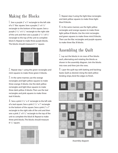### Making the Blocks

1. Sew a purple 2˝ x 5˝ rectangle to the left side of a 5<sup>"</sup> lilac square. Sew a purple  $2^r \times 6^1 / 2^r$ rectangle to the bottom of the square. Sew a purple  $2 \frac{1}{2}$ " x 6 $\frac{1}{2}$ " rectangle to the right side of the unit and then sew a purple  $2\frac{1}{2}$ " x  $8\frac{1}{2}$ " rectangle to the top of the unit to complete block A. Repeat to make three purple blocks. The blocks should measure 8 1/2˝ square.



 $2.$  Repeat step 1 using the green rectangles and mint squares to make three green A blocks.

 $3.$  In the same manner, use the orange rectangles and light-yellow squares to make three orange A blocks. Use the dark-yellow rectangles and light-blue squares to make three dark-yellow A blocks. Then use the teal rectangles and pink squares to make three teal A blocks.

4. Sew a pink  $3\frac{1}{2}$  x 4<sup> $\degree$ </sup> rectangle to the left side of a teal square. Sew a pink 3 1/2˝ x 7˝ rectangle to the bottom of the square. Sew a pink 2˝ x 7˝ rectangle to the right side of the unit and then sew a pink  $2^{\degree}$  x 8  $\frac{1}{2^{\degree}}$  rectangle to the top of the unit to complete the block B. Repeat to make three pink blocks. The blocks should measure  $8<sup>1</sup>/2<sup>''</sup>$  square.



 $5.$  Repeat step 4 using the light-blue rectangles and dark-yellow squares to make three lightblue B blocks.

 $6.$  In the same manner, use the light-yellow rectangles and orange squares to make three light-yellow B blocks. Use the mint rectangles and green squares to make three mint B blocks. Then use the lilac rectangles and purple squares to make three lilac B blocks.

#### Assembling the Quilt

 $\hat{I}$ . Lay out the blocks in six rows of five blocks each, alternating and rotating the blocks as shown in the assembly diagram. Join the blocks into rows and then join the rows.

 $0<sup>9</sup>$ . Layer the quilt top with batting and backing; baste. Quilt as desired. Using the dark-yellow binding strips, bind the edges to finish.



Assembly diagram